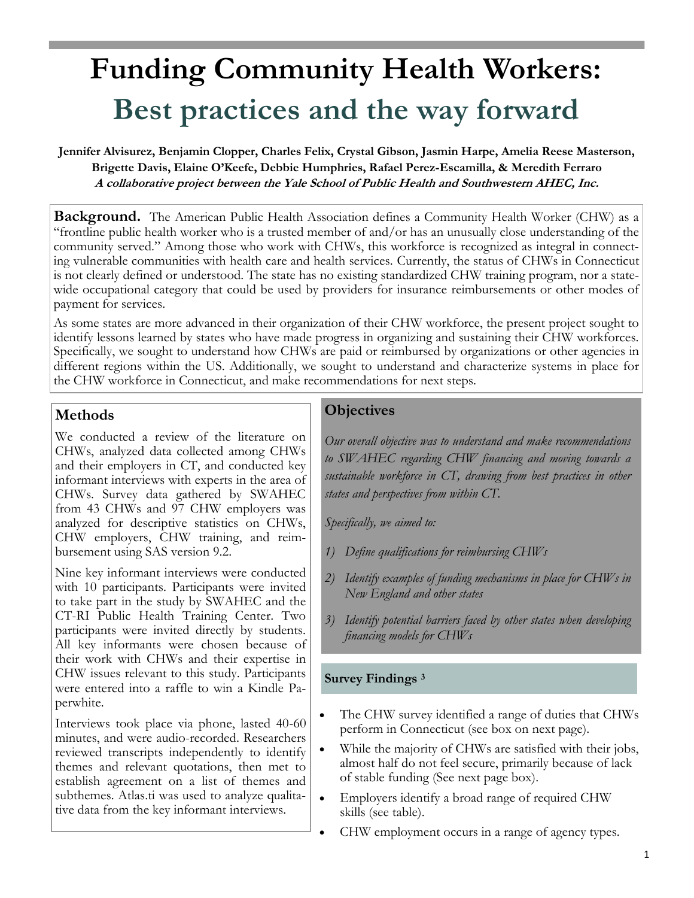# **Funding Community Health Workers: Best practices and the way forward**

**Jennifer Alvisurez, Benjamin Clopper, Charles Felix, Crystal Gibson, Jasmin Harpe, Amelia Reese Masterson, Brigette Davis, Elaine O'Keefe, Debbie Humphries, Rafael Perez-Escamilla, & Meredith Ferraro A collaborative project between the Yale School of Public Health and Southwestern AHEC, Inc.**

**Background.** The American Public Health Association defines a Community Health Worker (CHW) as a "frontline public health worker who is a trusted member of and/or has an unusually close understanding of the community served." Among those who work with CHWs, this workforce is recognized as integral in connecting vulnerable communities with health care and health services. Currently, the status of CHWs in Connecticut is not clearly defined or understood. The state has no existing standardized CHW training program, nor a statewide occupational category that could be used by providers for insurance reimbursements or other modes of payment for services.

As some states are more advanced in their organization of their CHW workforce, the present project sought to identify lessons learned by states who have made progress in organizing and sustaining their CHW workforces. Specifically, we sought to understand how CHWs are paid or reimbursed by organizations or other agencies in different regions within the US. Additionally, we sought to understand and characterize systems in place for the CHW workforce in Connecticut, and make recommendations for next steps.

# **Methods**

We conducted a review of the literature on CHWs, analyzed data collected among CHWs and their employers in CT, and conducted key informant interviews with experts in the area of CHWs. Survey data gathered by SWAHEC from 43 CHWs and 97 CHW employers was analyzed for descriptive statistics on CHWs, CHW employers, CHW training, and reimbursement using SAS version 9.2.

Nine key informant interviews were conducted with 10 participants. Participants were invited to take part in the study by SWAHEC and the CT-RI Public Health Training Center. Two participants were invited directly by students. All key informants were chosen because of their work with CHWs and their expertise in CHW issues relevant to this study. Participants were entered into a raffle to win a Kindle Paperwhite.

Interviews took place via phone, lasted 40-60 minutes, and were audio-recorded. Researchers reviewed transcripts independently to identify themes and relevant quotations, then met to establish agreement on a list of themes and subthemes. Atlas.ti was used to analyze qualitative data from the key informant interviews.

# **Objectives**

*Our overall objective was to understand and make recommendations to SWAHEC regarding CHW financing and moving towards a sustainable workforce in CT, drawing from best practices in other states and perspectives from within CT.*

*Specifically, we aimed to:*

- *1) Define qualifications for reimbursing CHWs*
- *2) Identify examples of funding mechanisms in place for CHWs in New England and other states*
- *3) Identify potential barriers faced by other states when developing financing models for CHWs*

## **Survey Findings <sup>3</sup>**

- The CHW survey identified a range of duties that CHWs perform in Connecticut (see box on next page).
- While the majority of CHWs are satisfied with their jobs, almost half do not feel secure, primarily because of lack of stable funding (See next page box).
- Employers identify a broad range of required CHW skills (see table).
- CHW employment occurs in a range of agency types.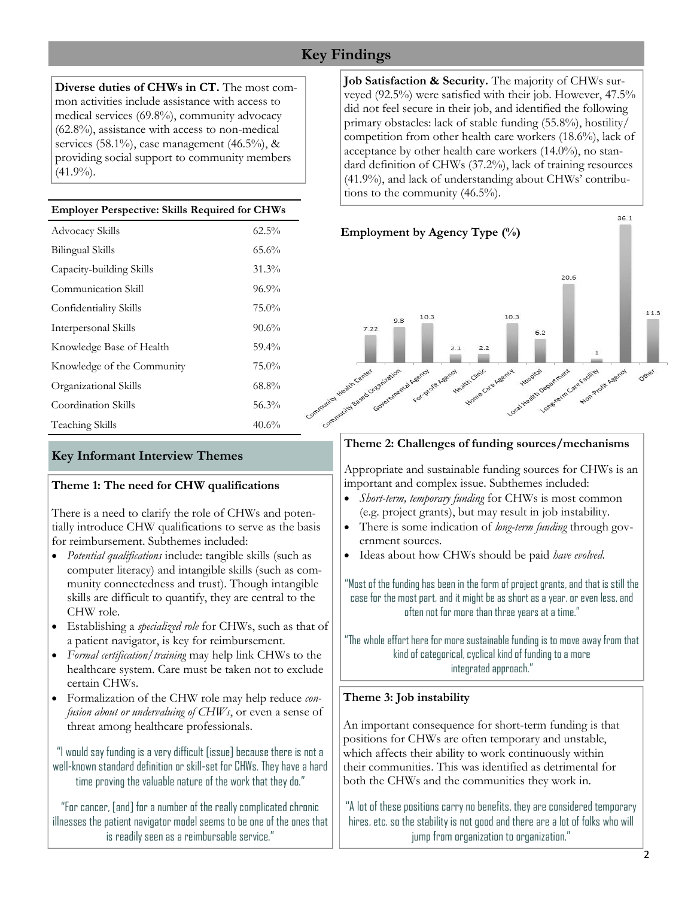# **Key Findings**

**Diverse duties of CHWs in CT.** The most common activities include assistance with access to medical services (69.8%), community advocacy (62.8%), assistance with access to non-medical services (58.1%), case management (46.5%),  $\&$ providing social support to community members  $(41.9\%)$ .

#### **Employer Perspective: Skills Required for CHWs**

| Advocacy Skills            | $62.5\%$ |
|----------------------------|----------|
| <b>Bilingual Skills</b>    | 65.6%    |
| Capacity-building Skills   | 31.3%    |
| Communication Skill        | 96.9%    |
| Confidentiality Skills     | 75.0%    |
| Interpersonal Skills       | 90.6%    |
| Knowledge Base of Health   | 59.4%    |
| Knowledge of the Community | 75.0%    |
| Organizational Skills      | 68.8%    |
| Coordination Skills        | 56.3%    |
| Teaching Skills            | 40.6%    |

**Job Satisfaction & Security.** The majority of CHWs surveyed (92.5%) were satisfied with their job. However, 47.5% did not feel secure in their job, and identified the following primary obstacles: lack of stable funding (55.8%), hostility/ competition from other health care workers (18.6%), lack of acceptance by other health care workers (14.0%), no standard definition of CHWs (37.2%), lack of training resources (41.9%), and lack of understanding about CHWs' contributions to the community (46.5%).



## **Key Informant Interview Themes**

#### **Theme 1: The need for CHW qualifications**

There is a need to clarify the role of CHWs and potentially introduce CHW qualifications to serve as the basis for reimbursement. Subthemes included:

- *Potential qualifications* include: tangible skills (such as computer literacy) and intangible skills (such as community connectedness and trust). Though intangible skills are difficult to quantify, they are central to the CHW role.
- Establishing a *specialized role* for CHWs, such as that of a patient navigator, is key for reimbursement.
- *Formal certification/training* may help link CHWs to the healthcare system. Care must be taken not to exclude certain CHWs.
- Formalization of the CHW role may help reduce *confusion about or undervaluing of CHWs*, or even a sense of threat among healthcare professionals.

"I would say funding is a very difficult [issue] because there is not a well-known standard definition or skill-set for CHWs. They have a hard time proving the valuable nature of the work that they do."

"For cancer, [and] for a number of the really complicated chronic illnesses the patient navigator model seems to be one of the ones that is readily seen as a reimbursable service."

#### **Theme 2: Challenges of funding sources/mechanisms**

Appropriate and sustainable funding sources for CHWs is an important and complex issue. Subthemes included:

- *Short-term, temporary funding* for CHWs is most common (e.g. project grants), but may result in job instability.
- There is some indication of *long-term funding* through government sources.
- Ideas about how CHWs should be paid *have evolved*.

"Most of the funding has been in the form of project grants, and that is still the case for the most part, and it might be as short as a year, or even less, and often not for more than three years at a time."

"The whole effort here for more sustainable funding is to move away from that kind of categorical, cyclical kind of funding to a more integrated approach."

#### **Theme 3: Job instability**

An important consequence for short-term funding is that positions for CHWs are often temporary and unstable, which affects their ability to work continuously within their communities. This was identified as detrimental for both the CHWs and the communities they work in.

"A lot of these positions carry no benefits, they are considered temporary hires, etc. so the stability is not good and there are a lot of folks who will jump from organization to organization."